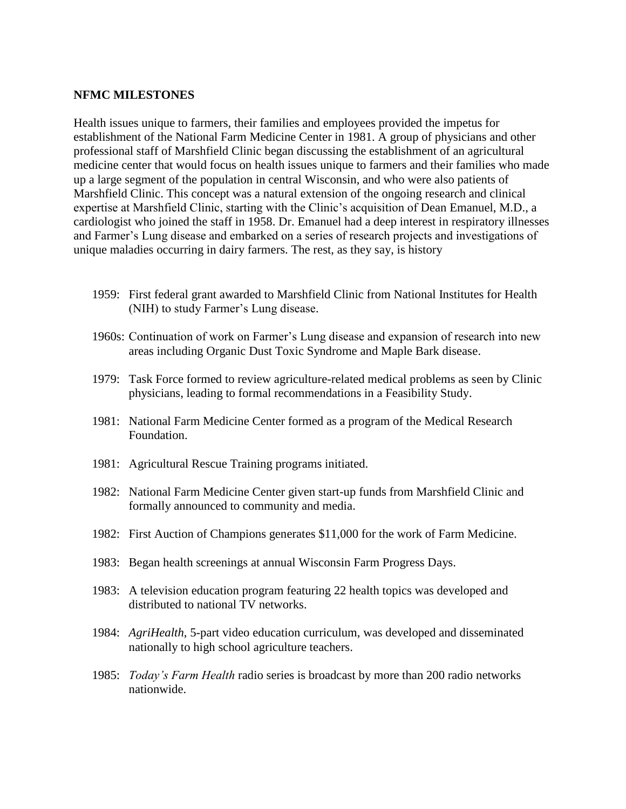## **NFMC MILESTONES**

Health issues unique to farmers, their families and employees provided the impetus for establishment of the National Farm Medicine Center in 1981. A group of physicians and other professional staff of Marshfield Clinic began discussing the establishment of an agricultural medicine center that would focus on health issues unique to farmers and their families who made up a large segment of the population in central Wisconsin, and who were also patients of Marshfield Clinic. This concept was a natural extension of the ongoing research and clinical expertise at Marshfield Clinic, starting with the Clinic's acquisition of Dean Emanuel, M.D., a cardiologist who joined the staff in 1958. Dr. Emanuel had a deep interest in respiratory illnesses and Farmer's Lung disease and embarked on a series of research projects and investigations of unique maladies occurring in dairy farmers. The rest, as they say, is history

- 1959: First federal grant awarded to Marshfield Clinic from National Institutes for Health (NIH) to study Farmer's Lung disease.
- 1960s: Continuation of work on Farmer's Lung disease and expansion of research into new areas including Organic Dust Toxic Syndrome and Maple Bark disease.
- 1979: Task Force formed to review agriculture-related medical problems as seen by Clinic physicians, leading to formal recommendations in a Feasibility Study.
- 1981: National Farm Medicine Center formed as a program of the Medical Research Foundation.
- 1981: Agricultural Rescue Training programs initiated.
- 1982: National Farm Medicine Center given start-up funds from Marshfield Clinic and formally announced to community and media.
- 1982: First Auction of Champions generates \$11,000 for the work of Farm Medicine.
- 1983: Began health screenings at annual Wisconsin Farm Progress Days.
- 1983: A television education program featuring 22 health topics was developed and distributed to national TV networks.
- 1984: *AgriHealth*, 5-part video education curriculum, was developed and disseminated nationally to high school agriculture teachers.
- 1985: *Today's Farm Health* radio series is broadcast by more than 200 radio networks nationwide.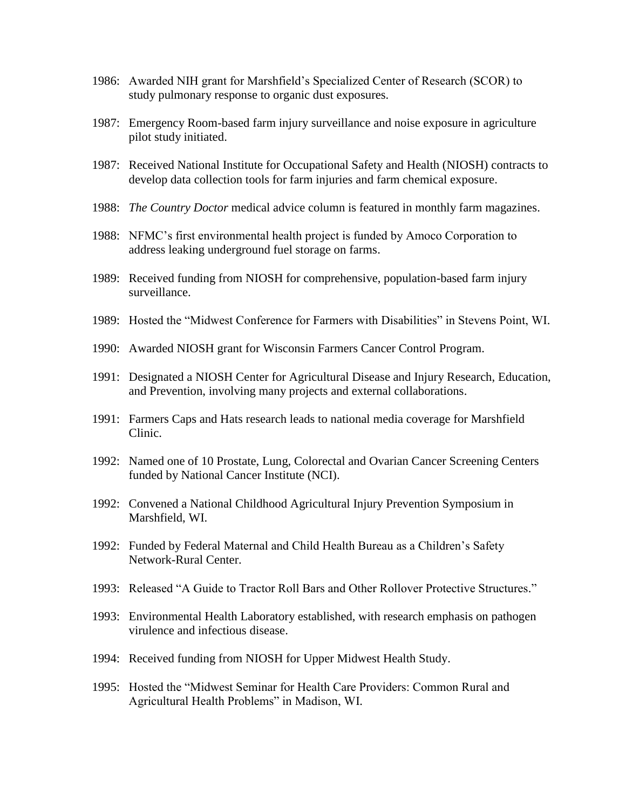- 1986: Awarded NIH grant for Marshfield's Specialized Center of Research (SCOR) to study pulmonary response to organic dust exposures.
- 1987: Emergency Room-based farm injury surveillance and noise exposure in agriculture pilot study initiated.
- 1987: Received National Institute for Occupational Safety and Health (NIOSH) contracts to develop data collection tools for farm injuries and farm chemical exposure.
- 1988: *The Country Doctor* medical advice column is featured in monthly farm magazines.
- 1988: NFMC's first environmental health project is funded by Amoco Corporation to address leaking underground fuel storage on farms.
- 1989: Received funding from NIOSH for comprehensive, population-based farm injury surveillance.
- 1989: Hosted the "Midwest Conference for Farmers with Disabilities" in Stevens Point, WI.
- 1990: Awarded NIOSH grant for Wisconsin Farmers Cancer Control Program.
- 1991: Designated a NIOSH Center for Agricultural Disease and Injury Research, Education, and Prevention, involving many projects and external collaborations.
- 1991: Farmers Caps and Hats research leads to national media coverage for Marshfield Clinic.
- 1992: Named one of 10 Prostate, Lung, Colorectal and Ovarian Cancer Screening Centers funded by National Cancer Institute (NCI).
- 1992: Convened a National Childhood Agricultural Injury Prevention Symposium in Marshfield, WI.
- 1992: Funded by Federal Maternal and Child Health Bureau as a Children's Safety Network-Rural Center.
- 1993: Released "A Guide to Tractor Roll Bars and Other Rollover Protective Structures."
- 1993: Environmental Health Laboratory established, with research emphasis on pathogen virulence and infectious disease.
- 1994: Received funding from NIOSH for Upper Midwest Health Study.
- 1995: Hosted the "Midwest Seminar for Health Care Providers: Common Rural and Agricultural Health Problems" in Madison, WI.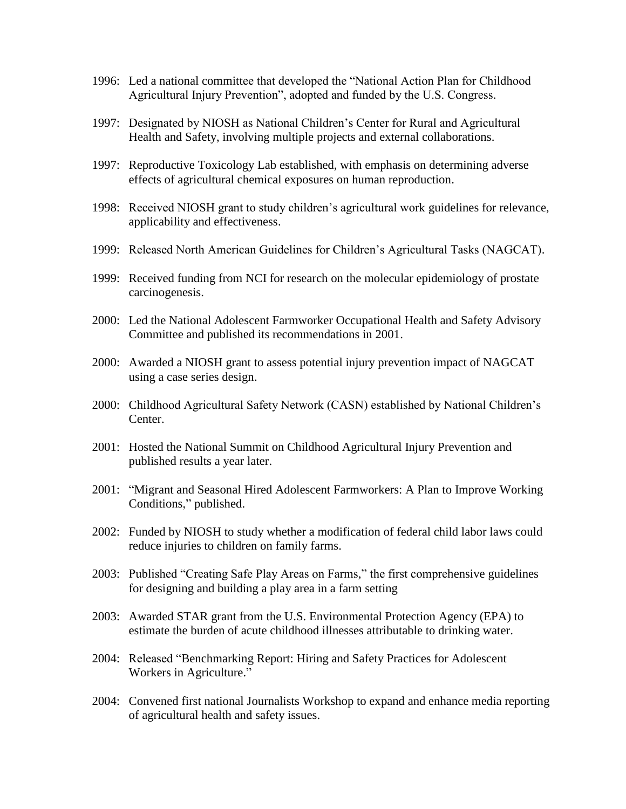- 1996: Led a national committee that developed the "National Action Plan for Childhood Agricultural Injury Prevention", adopted and funded by the U.S. Congress.
- 1997: Designated by NIOSH as National Children's Center for Rural and Agricultural Health and Safety, involving multiple projects and external collaborations.
- 1997: Reproductive Toxicology Lab established, with emphasis on determining adverse effects of agricultural chemical exposures on human reproduction.
- 1998: Received NIOSH grant to study children's agricultural work guidelines for relevance, applicability and effectiveness.
- 1999: Released North American Guidelines for Children's Agricultural Tasks (NAGCAT).
- 1999: Received funding from NCI for research on the molecular epidemiology of prostate carcinogenesis.
- 2000: Led the National Adolescent Farmworker Occupational Health and Safety Advisory Committee and published its recommendations in 2001.
- 2000: Awarded a NIOSH grant to assess potential injury prevention impact of NAGCAT using a case series design.
- 2000: Childhood Agricultural Safety Network (CASN) established by National Children's Center.
- 2001: Hosted the National Summit on Childhood Agricultural Injury Prevention and published results a year later.
- 2001: "Migrant and Seasonal Hired Adolescent Farmworkers: A Plan to Improve Working Conditions," published.
- 2002: Funded by NIOSH to study whether a modification of federal child labor laws could reduce injuries to children on family farms.
- 2003: Published "Creating Safe Play Areas on Farms," the first comprehensive guidelines for designing and building a play area in a farm setting
- 2003: Awarded STAR grant from the U.S. Environmental Protection Agency (EPA) to estimate the burden of acute childhood illnesses attributable to drinking water.
- 2004: Released "Benchmarking Report: Hiring and Safety Practices for Adolescent Workers in Agriculture."
- 2004: Convened first national Journalists Workshop to expand and enhance media reporting of agricultural health and safety issues.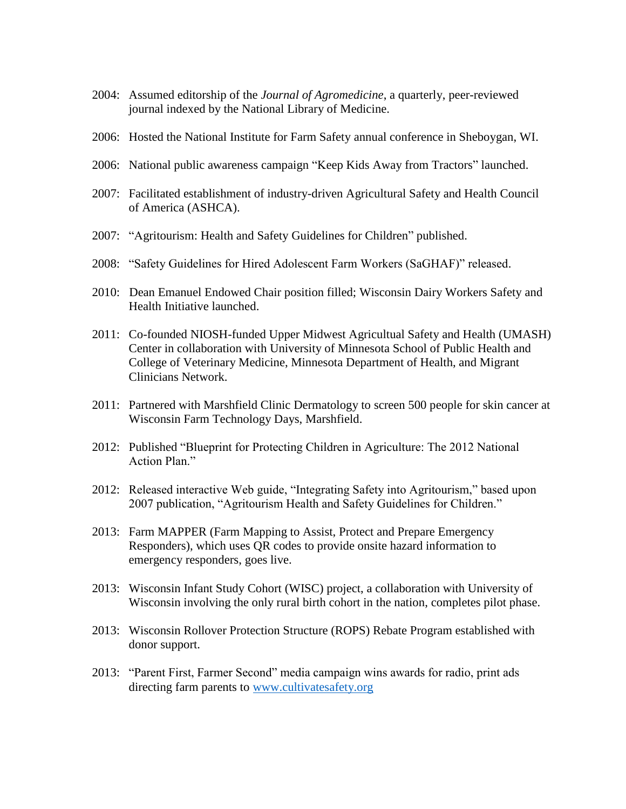- 2004: Assumed editorship of the *Journal of Agromedicine*, a quarterly, peer-reviewed journal indexed by the National Library of Medicine.
- 2006: Hosted the National Institute for Farm Safety annual conference in Sheboygan, WI.
- 2006: National public awareness campaign "Keep Kids Away from Tractors" launched.
- 2007: Facilitated establishment of industry-driven Agricultural Safety and Health Council of America (ASHCA).
- 2007: "Agritourism: Health and Safety Guidelines for Children" published.
- 2008: "Safety Guidelines for Hired Adolescent Farm Workers (SaGHAF)" released.
- 2010: Dean Emanuel Endowed Chair position filled; Wisconsin Dairy Workers Safety and Health Initiative launched.
- 2011: Co-founded NIOSH-funded Upper Midwest Agricultual Safety and Health (UMASH) Center in collaboration with University of Minnesota School of Public Health and College of Veterinary Medicine, Minnesota Department of Health, and Migrant Clinicians Network.
- 2011: Partnered with Marshfield Clinic Dermatology to screen 500 people for skin cancer at Wisconsin Farm Technology Days, Marshfield.
- 2012: Published "Blueprint for Protecting Children in Agriculture: The 2012 National Action Plan."
- 2012: Released interactive Web guide, "Integrating Safety into Agritourism," based upon 2007 publication, "Agritourism Health and Safety Guidelines for Children."
- 2013: Farm MAPPER (Farm Mapping to Assist, Protect and Prepare Emergency Responders), which uses QR codes to provide onsite hazard information to emergency responders, goes live.
- 2013: Wisconsin Infant Study Cohort (WISC) project, a collaboration with University of Wisconsin involving the only rural birth cohort in the nation, completes pilot phase.
- 2013: Wisconsin Rollover Protection Structure (ROPS) Rebate Program established with donor support.
- 2013: "Parent First, Farmer Second" media campaign wins awards for radio, print ads directing farm parents to [www.cultivatesafety.org](http://www.cultivatesafety.org/)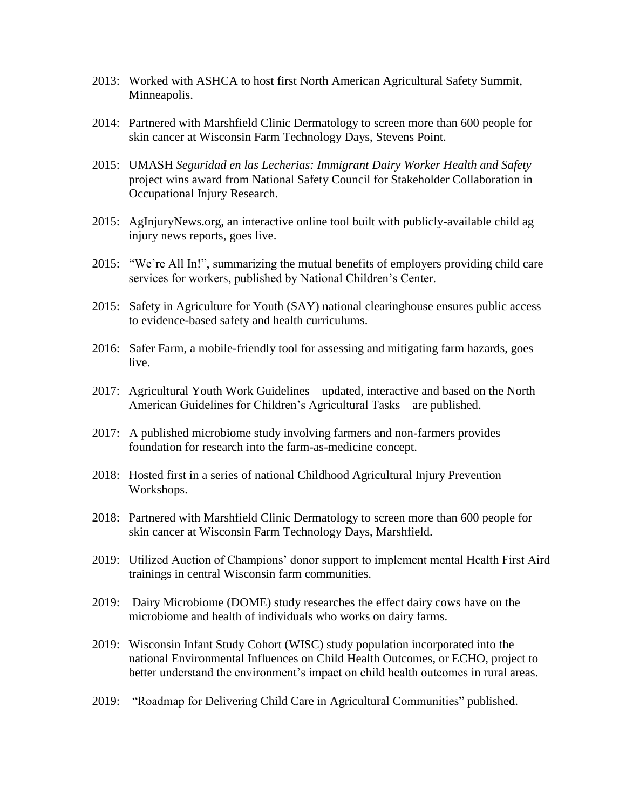- 2013: Worked with ASHCA to host first North American Agricultural Safety Summit, Minneapolis.
- 2014: Partnered with Marshfield Clinic Dermatology to screen more than 600 people for skin cancer at Wisconsin Farm Technology Days, Stevens Point.
- 2015: UMASH *Seguridad en las Lecherias: Immigrant Dairy Worker Health and Safety* project wins award from National Safety Council for Stakeholder Collaboration in Occupational Injury Research.
- 2015: AgInjuryNews.org, an interactive online tool built with publicly-available child ag injury news reports, goes live.
- 2015: "We're All In!", summarizing the mutual benefits of employers providing child care services for workers, published by National Children's Center.
- 2015: Safety in Agriculture for Youth (SAY) national clearinghouse ensures public access to evidence-based safety and health curriculums.
- 2016: Safer Farm, a mobile-friendly tool for assessing and mitigating farm hazards, goes live.
- 2017: Agricultural Youth Work Guidelines updated, interactive and based on the North American Guidelines for Children's Agricultural Tasks – are published.
- 2017: A published microbiome study involving farmers and non-farmers provides foundation for research into the farm-as-medicine concept.
- 2018: Hosted first in a series of national Childhood Agricultural Injury Prevention Workshops.
- 2018: Partnered with Marshfield Clinic Dermatology to screen more than 600 people for skin cancer at Wisconsin Farm Technology Days, Marshfield.
- 2019: Utilized Auction of Champions' donor support to implement mental Health First Aird trainings in central Wisconsin farm communities.
- 2019: Dairy Microbiome (DOME) study researches the effect dairy cows have on the microbiome and health of individuals who works on dairy farms.
- 2019: Wisconsin Infant Study Cohort (WISC) study population incorporated into the national Environmental Influences on Child Health Outcomes, or ECHO, project to better understand the environment's impact on child health outcomes in rural areas.
- 2019: "Roadmap for Delivering Child Care in Agricultural Communities" published.